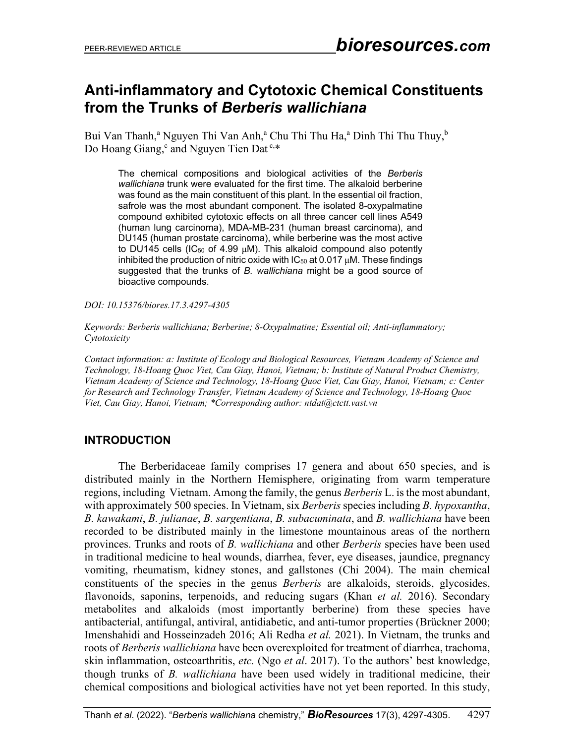## **Anti-inflammatory and Cytotoxic Chemical Constituents from the Trunks of** *Berberis wallichiana*

Bui Van Thanh,<sup>a</sup> Nguyen Thi Van Anh,<sup>a</sup> Chu Thi Thu Ha,<sup>a</sup> Dinh Thi Thu Thuy,<sup>b</sup> Do Hoang Giang, and Nguyen Tien Dat<sup>c,\*</sup>

The chemical compositions and biological activities of the *Berberis wallichiana* trunk were evaluated for the first time. The alkaloid berberine was found as the main constituent of this plant. In the essential oil fraction, safrole was the most abundant component. The isolated 8-oxypalmatine compound exhibited cytotoxic effects on all three cancer cell lines A549 (human lung carcinoma), MDA-MB-231 (human breast carcinoma), and DU145 (human prostate carcinoma), while berberine was the most active to DU145 cells (IC<sub>50</sub> of 4.99 μM). This alkaloid compound also potently inhibited the production of nitric oxide with  $IC_{50}$  at 0.017  $\mu$ M. These findings suggested that the trunks of *B. wallichiana* might be a good source of bioactive compounds.

*DOI: 10.15376/biores.17.3.4297-4305*

*Keywords: Berberis wallichiana; Berberine; 8-Oxypalmatine; Essential oil; Anti-inflammatory; Cytotoxicity*

*Contact information: a: Institute of Ecology and Biological Resources, Vietnam Academy of Science and Technology, 18-Hoang Quoc Viet, Cau Giay, Hanoi, Vietnam; b: Institute of Natural Product Chemistry, Vietnam Academy of Science and Technology, 18-Hoang Quoc Viet, Cau Giay, Hanoi, Vietnam; c: Center for Research and Technology Transfer, Vietnam Academy of Science and Technology, 18-Hoang Quoc Viet, Cau Giay, Hanoi, Vietnam; \*Corresponding author: ntdat@ctctt.vast.vn*

### **INTRODUCTION**

The Berberidaceae family comprises 17 genera and about 650 species, and is distributed mainly in the Northern Hemisphere, originating from warm temperature regions, including Vietnam. Among the family, the genus *Berberis* L. is the most abundant, with approximately 500 species. In Vietnam, six *Berberis* species including *B. hypoxantha*, *B. kawakami*, *B. julianae*, *B. sargentiana*, *B. subacuminata*, and *B. wallichiana* have been recorded to be distributed mainly in the limestone mountainous areas of the northern provinces. Trunks and roots of *B. wallichiana* and other *Berberis* species have been used in traditional medicine to heal wounds, diarrhea, fever, eye diseases, jaundice, pregnancy vomiting, rheumatism, kidney stones, and gallstones (Chi 2004). The main chemical constituents of the species in the genus *Berberis* are alkaloids, steroids, glycosides, flavonoids, saponins, terpenoids, and reducing sugars (Khan *et al.* 2016). Secondary metabolites and alkaloids (most importantly berberine) from these species have antibacterial, antifungal, antiviral, antidiabetic, and anti-tumor properties (Brückner 2000; Imenshahidi and Hosseinzadeh 2016; Ali Redha *et al.* 2021). In Vietnam, the trunks and roots of *Berberis wallichiana* have been overexploited for treatment of diarrhea, trachoma, skin inflammation, osteoarthritis, *etc.* (Ngo *et al*. 2017). To the authors' best knowledge, though trunks of *B. wallichiana* have been used widely in traditional medicine, their chemical compositions and biological activities have not yet been reported. In this study,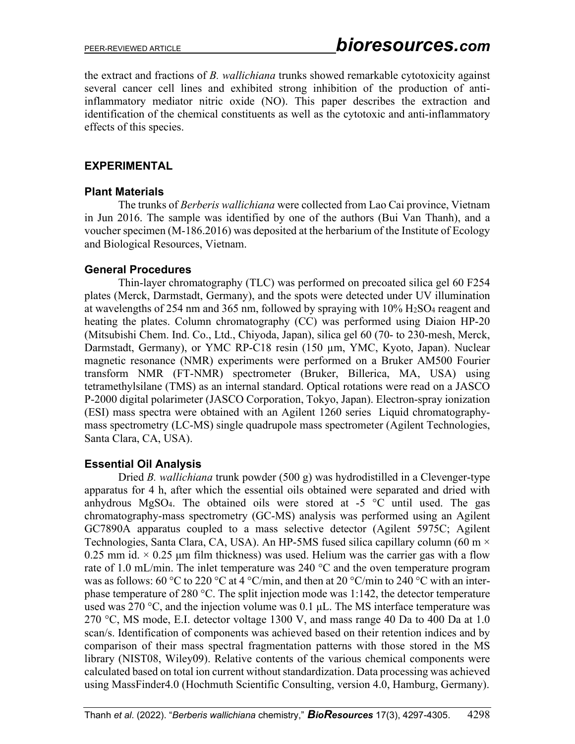the extract and fractions of *B. wallichiana* trunks showed remarkable cytotoxicity against several cancer cell lines and exhibited strong inhibition of the production of antiinflammatory mediator nitric oxide (NO). This paper describes the extraction and identification of the chemical constituents as well as the cytotoxic and anti-inflammatory effects of this species.

## **EXPERIMENTAL**

### **Plant Materials**

The trunks of *Berberis wallichiana* were collected from Lao Cai province, Vietnam in Jun 2016. The sample was identified by one of the authors (Bui Van Thanh), and a voucher specimen (M-186.2016) was deposited at the herbarium of the Institute of Ecology and Biological Resources, Vietnam.

## **General Procedures**

Thin-layer chromatography (TLC) was performed on precoated silica gel 60 F254 plates (Merck, Darmstadt, Germany), and the spots were detected under UV illumination at wavelengths of 254 nm and 365 nm, followed by spraying with 10% H2SO4 reagent and heating the plates. Column chromatography (CC) was performed using Diaion HP-20 (Mitsubishi Chem. Ind. Co., Ltd., Chiyoda, Japan), silica gel 60 (70- to 230-mesh, Merck, Darmstadt, Germany), or YMC RP-C18 resin (150 µm, YMC, Kyoto, Japan). Nuclear magnetic resonance (NMR) experiments were performed on a Bruker AM500 Fourier transform NMR (FT-NMR) spectrometer (Bruker, Billerica, MA, USA) using tetramethylsilane (TMS) as an internal standard. Optical rotations were read on a JASCO P-2000 digital polarimeter (JASCO Corporation, Tokyo, Japan). Electron-spray ionization (ESI) mass spectra were obtained with an Agilent 1260 series Liquid chromatographymass spectrometry (LC-MS) single quadrupole mass spectrometer (Agilent Technologies, Santa Clara, CA, USA).

## **Essential Oil Analysis**

Dried *B. wallichiana* trunk powder (500 g) was hydrodistilled in a Clevenger-type apparatus for 4 h, after which the essential oils obtained were separated and dried with anhydrous MgSO<sub>4</sub>. The obtained oils were stored at  $-5$  °C until used. The gas chromatography-mass spectrometry (GC-MS) analysis was performed using an Agilent GC7890A apparatus coupled to a mass selective detector (Agilent 5975C; Agilent Technologies, Santa Clara, CA, USA). An HP-5MS fused silica capillary column (60 m  $\times$ 0.25 mm id.  $\times$  0.25 µm film thickness) was used. Helium was the carrier gas with a flow rate of 1.0 mL/min. The inlet temperature was 240  $^{\circ}$ C and the oven temperature program was as follows: 60 °C to 220 °C at 4 °C/min, and then at 20 °C/min to 240 °C with an interphase temperature of 280 °C. The split injection mode was 1:142, the detector temperature used was 270 °C, and the injection volume was 0.1  $\mu$ L. The MS interface temperature was 270 °C, MS mode, E.I. detector voltage 1300 V, and mass range 40 Da to 400 Da at 1.0 scan/s. Identification of components was achieved based on their retention indices and by comparison of their mass spectral fragmentation patterns with those stored in the MS library (NIST08, Wiley09). Relative contents of the various chemical components were calculated based on total ion current without standardization. Data processing was achieved using MassFinder4.0 (Hochmuth Scientific Consulting, version 4.0, Hamburg, Germany).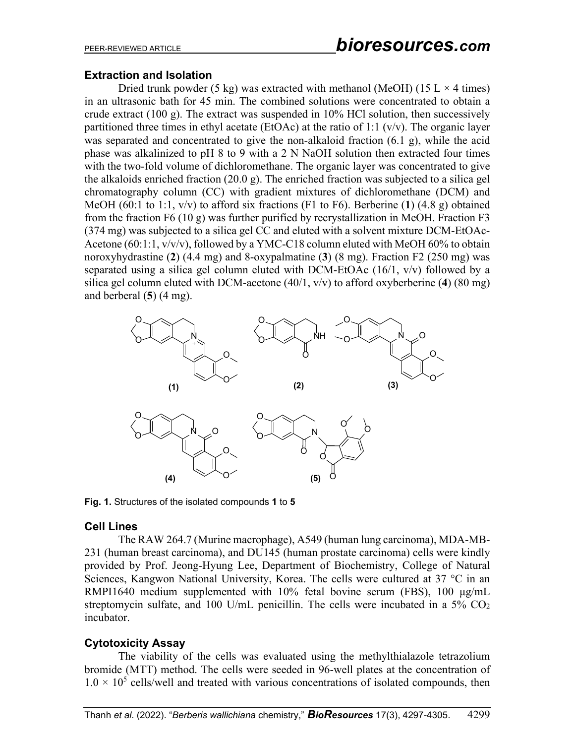### **Extraction and Isolation**

Dried trunk powder (5 kg) was extracted with methanol (MeOH) (15 L  $\times$  4 times) in an ultrasonic bath for 45 min. The combined solutions were concentrated to obtain a crude extract (100 g). The extract was suspended in 10% HCl solution, then successively partitioned three times in ethyl acetate (EtOAc) at the ratio of 1:1  $(v/v)$ . The organic layer was separated and concentrated to give the non-alkaloid fraction (6.1 g), while the acid phase was alkalinized to pH 8 to 9 with a 2 N NaOH solution then extracted four times with the two-fold volume of dichloromethane. The organic layer was concentrated to give the alkaloids enriched fraction (20.0 g). The enriched fraction was subjected to a silica gel chromatography column (CC) with gradient mixtures of dichloromethane (DCM) and MeOH (60:1 to 1:1, v/v) to afford six fractions (F1 to F6). Berberine (**1**) (4.8 g) obtained from the fraction F6 (10 g) was further purified by recrystallization in MeOH. Fraction F3 (374 mg) was subjected to a silica gel CC and eluted with a solvent mixture DCM-EtOAc-Acetone (60:1:1, v/v/v), followed by a YMC-C18 column eluted with MeOH 60% to obtain noroxyhydrastine (**2**) (4.4 mg) and 8-oxypalmatine (**3**) (8 mg). Fraction F2 (250 mg) was separated using a silica gel column eluted with DCM-EtOAc (16/1, v/v) followed by a silica gel column eluted with DCM-acetone (40/1, v/v) to afford oxyberberine (**4**) (80 mg) and berberal (**5**) (4 mg).



**Fig. 1.** Structures of the isolated compounds **1** to **5** 

### **Cell Lines**

The RAW 264.7 (Murine macrophage), A549 (human lung carcinoma), MDA-MB-231 (human breast carcinoma), and DU145 (human prostate carcinoma) cells were kindly provided by Prof. Jeong-Hyung Lee, Department of Biochemistry, College of Natural Sciences, Kangwon National University, Korea. The cells were cultured at 37 °C in an RMPI1640 medium supplemented with 10% fetal bovine serum (FBS), 100 μg/mL streptomycin sulfate, and 100 U/mL penicillin. The cells were incubated in a  $5\%$  CO<sub>2</sub> incubator.

### **Cytotoxicity Assay**

The viability of the cells was evaluated using the methylthialazole tetrazolium bromide (MTT) method. The cells were seeded in 96-well plates at the concentration of  $1.0 \times 10^5$  cells/well and treated with various concentrations of isolated compounds, then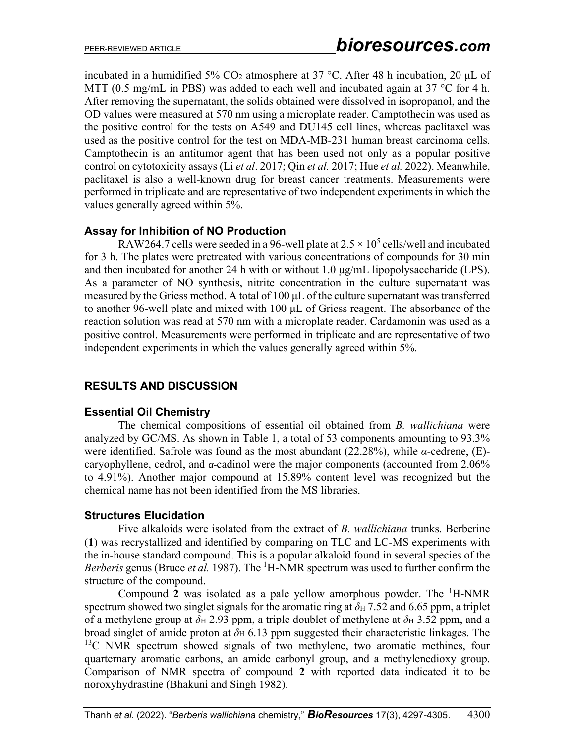incubated in a humidified 5%  $CO<sub>2</sub>$  atmosphere at 37 °C. After 48 h incubation, 20  $\mu$ L of MTT (0.5 mg/mL in PBS) was added to each well and incubated again at 37  $\degree$ C for 4 h. After removing the supernatant, the solids obtained were dissolved in isopropanol, and the OD values were measured at 570 nm using a microplate reader. Camptothecin was used as the positive control for the tests on A549 and DU145 cell lines, whereas paclitaxel was used as the positive control for the test on MDA-MB-231 human breast carcinoma cells. Camptothecin is an antitumor agent that has been used not only as a popular positive control on cytotoxicity assays (Li *et al*. 2017; Qin *et al.* 2017; Hue *et al.* 2022). Meanwhile, paclitaxel is also a well-known drug for breast cancer treatments. Measurements were performed in triplicate and are representative of two independent experiments in which the values generally agreed within 5%.

## **Assay for Inhibition of NO Production**

RAW264.7 cells were seeded in a 96-well plate at  $2.5 \times 10^5$  cells/well and incubated for 3 h. The plates were pretreated with various concentrations of compounds for 30 min and then incubated for another 24 h with or without 1.0 μg/mL lipopolysaccharide (LPS). As a parameter of NO synthesis, nitrite concentration in the culture supernatant was measured by the Griess method. A total of 100 μL of the culture supernatant was transferred to another 96-well plate and mixed with 100 μL of Griess reagent. The absorbance of the reaction solution was read at 570 nm with a microplate reader. Cardamonin was used as a positive control. Measurements were performed in triplicate and are representative of two independent experiments in which the values generally agreed within 5%.

## **RESULTS AND DISCUSSION**

### **Essential Oil Chemistry**

The chemical compositions of essential oil obtained from *B. wallichiana* were analyzed by GC/MS. As shown in Table 1, a total of 53 components amounting to 93.3% were identified. Safrole was found as the most abundant (22.28%), while *α*-cedrene, (E) caryophyllene, cedrol, and *α*-cadinol were the major components (accounted from 2.06% to 4.91%). Another major compound at 15.89% content level was recognized but the chemical name has not been identified from the MS libraries.

## **Structures Elucidation**

Five alkaloids were isolated from the extract of *B. wallichiana* trunks. Berberine (**1**) was recrystallized and identified by comparing on TLC and LC-MS experiments with the in-house standard compound. This is a popular alkaloid found in several species of the Berberis genus (Bruce et al. 1987). The <sup>1</sup>H-NMR spectrum was used to further confirm the structure of the compound.

Compound 2 was isolated as a pale yellow amorphous powder. The <sup>1</sup>H-NMR spectrum showed two singlet signals for the aromatic ring at  $\delta$ <sub>H</sub> 7.52 and 6.65 ppm, a triplet of a methylene group at  $\delta$ H 2.93 ppm, a triple doublet of methylene at  $\delta$ H 3.52 ppm, and a broad singlet of amide proton at  $\delta$ H 6.13 ppm suggested their characteristic linkages. The  $13C$  NMR spectrum showed signals of two methylene, two aromatic methines, four quarternary aromatic carbons, an amide carbonyl group, and a methylenedioxy group. Comparison of NMR spectra of compound **2** with reported data indicated it to be noroxyhydrastine (Bhakuni and Singh 1982).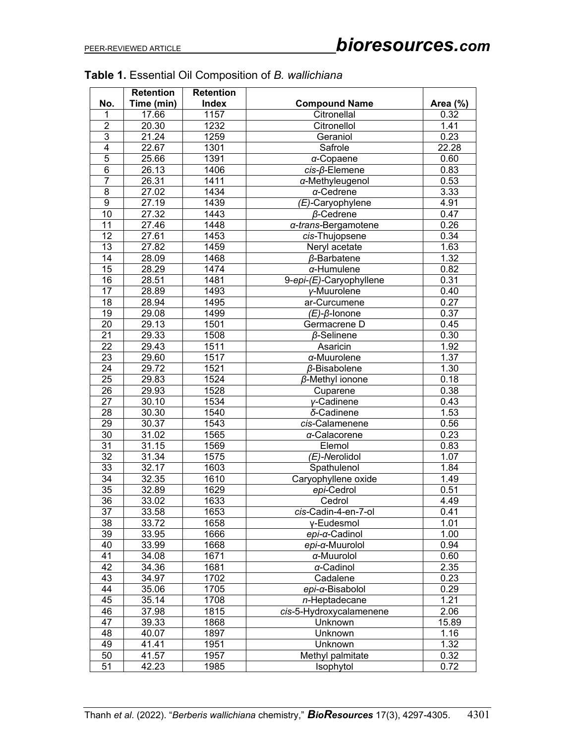|                       | <b>Retention</b> | <b>Retention</b> |                         |              |  |
|-----------------------|------------------|------------------|-------------------------|--------------|--|
| No.                   | Time (min)       | <b>Index</b>     | <b>Compound Name</b>    | Area (%)     |  |
| 1                     | 17.66            | 1157             | Citronellal             | 0.32         |  |
| $\overline{2}$        | 20.30            | 1232             | Citronellol             | 1.41         |  |
| $\overline{3}$        | 21.24            | 1259             | Geraniol                | 0.23         |  |
| 4                     | 22.67            | 1301             | Safrole                 | 22.28        |  |
| 5                     | 25.66            | 1391             | $\alpha$ -Copaene       | 0.60         |  |
| 6                     | 26.13            | 1406             | cis-ß-Elemene           | 0.83         |  |
| 7                     | 26.31            | 1411             | a-Methyleugenol         | 0.53         |  |
| 8                     | 27.02            | 1434             | a-Cedrene               | 3.33         |  |
| $\boldsymbol{9}$      | 27.19            | 1439             | (E)-Caryophylene        | 4.91         |  |
| 10                    | 27.32            | 1443             | $\beta$ -Cedrene        | 0.47         |  |
| 11                    | 27.46            | 1448             | a-trans-Bergamotene     | 0.26         |  |
| 12                    | 27.61            | 1453             | cis-Thujopsene          | 0.34         |  |
| 13                    | 27.82            | 1459             | Neryl acetate           | 1.63         |  |
| 14                    | 28.09            | 1468             | $\beta$ -Barbatene      | 1.32         |  |
| 15                    | 28.29            | 1474             | $\alpha$ -Humulene      | 0.82         |  |
| 16                    | 28.51            | 1481             | 9-epi-(E)-Caryophyllene | 0.31         |  |
| 17                    | 28.89            | 1493             | y-Muurolene             | 0.40         |  |
| 18                    | 28.94            | 1495             | ar-Curcumene            | 0.27         |  |
| 19                    | 29.08            | 1499             | $(E)$ - $\beta$ -lonone | 0.37         |  |
| 20                    | 29.13            | 1501             | Germacrene D            | 0.45         |  |
| $\overline{21}$       | 29.33            | 1508             | $\beta$ -Selinene       | 0.30         |  |
| 22                    | 29.43            | 1511             | Asaricin                | 1.92         |  |
| 23                    | 29.60            | 1517             | $\alpha$ -Muurolene     | 1.37         |  |
| 24                    | 29.72            | 1521             | $\beta$ -Bisabolene     | 1.30         |  |
| 25                    | 29.83            | 1524             | $\beta$ -Methyl ionone  | 0.18         |  |
| 26                    | 29.93            | 1528             |                         | 0.38         |  |
| $\overline{27}$       | 30.10            | 1534             | Cuparene                | 0.43         |  |
|                       |                  |                  | y-Cadinene              | 1.53         |  |
| 28<br>$\overline{2}9$ | 30.30            | 1540             | δ-Cadinene              |              |  |
|                       | 30.37            | 1543             | cis-Calamenene          | 0.56         |  |
| 30                    | 31.02            | 1565             | a-Calacorene            | 0.23         |  |
| 31                    | 31.15            | 1569             | Elemol                  | 0.83         |  |
| 32                    | 31.34            | 1575             | (E)-Nerolidol           | 1.07         |  |
| 33                    | 32.17            | 1603             | Spathulenol             | 1.84         |  |
| 34                    | 32.35            | 1610             | Caryophyllene oxide     | 1.49         |  |
| 35                    | 32.89            | 1629             | epi-Cedrol              | 0.51         |  |
| 36                    | 33.02            | 1633             | Cedrol                  | 4.49         |  |
| 37                    | 33.58            | 1653             | cis-Cadin-4-en-7-ol     | 0.41         |  |
| 38                    | 33.72            | 1658             | y-Eudesmol              | 1.01         |  |
| 39                    | 33.95            | 1666             | epi-a-Cadinol           | 1.00         |  |
| 40                    | 33.99            | 1668             | epi-a-Muurolol          | 0.94         |  |
| 41                    | 34.08            | 1671             | a-Muurolol              | 0.60         |  |
| 42                    | 34.36            | 1681             | $\alpha$ -Cadinol       | 2.35         |  |
| 43                    | 34.97            | 1702             | Cadalene                | 0.23         |  |
| 44                    | 35.06            | 1705             | epi-α-Bisabolol         | 0.29         |  |
| 45                    | 35.14            | 1708             | n-Heptadecane           | 1.21         |  |
| 46                    | 37.98            | 1815             | cis-5-Hydroxycalamenene | 2.06         |  |
| 47                    | 39.33            | 1868             | Unknown                 | 15.89        |  |
| 48                    | 40.07            | 1897             | Unknown                 | 1.16<br>1.32 |  |
| 49                    | 41.41            | 1951             | Unknown                 |              |  |
| 50                    | 41.57            | 1957             | Methyl palmitate        | 0.32         |  |
| 51                    | 42.23            | 1985             | Isophytol               | 0.72         |  |

# **Table 1.** Essential Oil Composition of *B. wallichiana*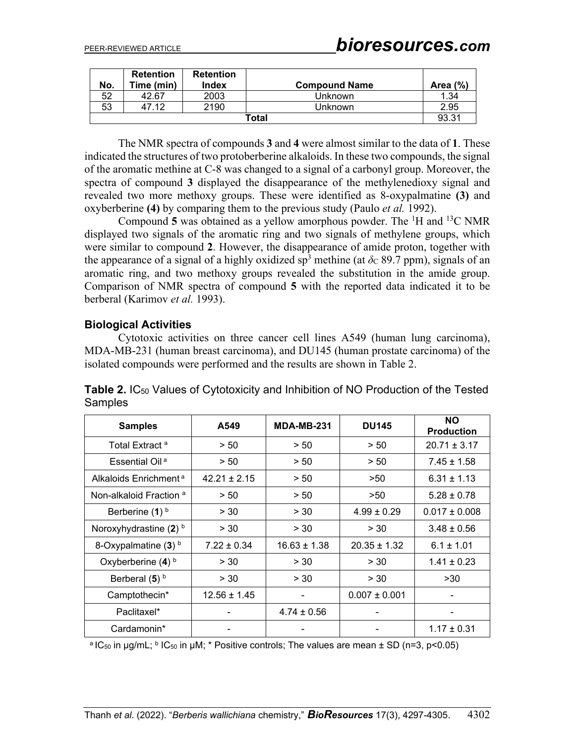|       | <b>Retention</b> | <b>Retention</b> |                      |             |  |  |
|-------|------------------|------------------|----------------------|-------------|--|--|
| No.   | Time (min)       | <b>Index</b>     | <b>Compound Name</b> | Area $(\%)$ |  |  |
| 52    | 42.67            | 2003             | Unknown              | 1.34        |  |  |
| 53    | 47 12            | 2190             | Unknown              | 2.95        |  |  |
| Total |                  |                  |                      |             |  |  |

The NMR spectra of compounds **3** and **4** were almost similar to the data of **1**. These indicated the structures of two protoberberine alkaloids. In these two compounds, the signal of the aromatic methine at C-8 was changed to a signal of a carbonyl group. Moreover, the spectra of compound **3** displayed the disappearance of the methylenedioxy signal and revealed two more methoxy groups. These were identified as 8-oxypalmatine **(3)** and oxyberberine **(4)** by comparing them to the previous study (Paulo *et al.* 1992).

Compound 5 was obtained as a yellow amorphous powder. The  ${}^{1}H$  and  ${}^{13}C$  NMR displayed two signals of the aromatic ring and two signals of methylene groups, which were similar to compound **2**. However, the disappearance of amide proton, together with the appearance of a signal of a highly oxidized sp<sup>3</sup> methine (at  $\delta$ c 89.7 ppm), signals of an aromatic ring, and two methoxy groups revealed the substitution in the amide group. Comparison of NMR spectra of compound **5** with the reported data indicated it to be berberal (Karimov *et al.* 1993).

### **Biological Activities**

Cytotoxic activities on three cancer cell lines A549 (human lung carcinoma), MDA-MB-231 (human breast carcinoma), and DU145 (human prostate carcinoma) of the isolated compounds were performed and the results are shown in Table 2.

| <b>Samples</b>                     | A549             | <b>MDA-MB-231</b>        | <b>DU145</b>      | <b>NO</b><br><b>Production</b> |
|------------------------------------|------------------|--------------------------|-------------------|--------------------------------|
| Total Extract <sup>a</sup>         | > 50             | > 50                     | > 50              | $20.71 \pm 3.17$               |
| Essential Oil <sup>a</sup>         | > 50             | > 50                     | > 50              | $7.45 \pm 1.58$                |
| Alkaloids Enrichment <sup>a</sup>  | $42.21 \pm 2.15$ | > 50                     | >50               | $6.31 \pm 1.13$                |
| Non-alkaloid Fraction <sup>a</sup> | > 50             | > 50                     | >50               | $5.28 \pm 0.78$                |
| Berberine (1) <sup>b</sup>         | > 30             | > 30                     | $4.99 \pm 0.29$   | $0.017 \pm 0.008$              |
| Noroxyhydrastine (2) b             | > 30             | > 30                     | > 30              | $3.48 \pm 0.56$                |
| 8-Oxypalmatine $(3)$ b             | $7.22 \pm 0.34$  | $16.63 \pm 1.38$         | $20.35 \pm 1.32$  | $6.1 \pm 1.01$                 |
| Oxyberberine $(4)$ <sup>b</sup>    | > 30             | > 30                     | > 30              | $1.41 \pm 0.23$                |
| Berberal $(5)$ <sup>b</sup>        | > 30             | > 30                     | > 30              | >30                            |
| Camptothecin*                      | $12.56 \pm 1.45$ | $\overline{\phantom{a}}$ | $0.007 \pm 0.001$ |                                |
| Paclitaxel*                        |                  | $4.74 \pm 0.56$          |                   |                                |
| Cardamonin*                        |                  |                          |                   | $1.17 \pm 0.31$                |

**Table 2.** IC50 Values of Cytotoxicity and Inhibition of NO Production of the Tested **Samples** 

<sup>a</sup> IC<sub>50</sub> in µg/mL; <sup>b</sup> IC<sub>50</sub> in µM; \* Positive controls; The values are mean  $\pm$  SD (n=3, p<0.05)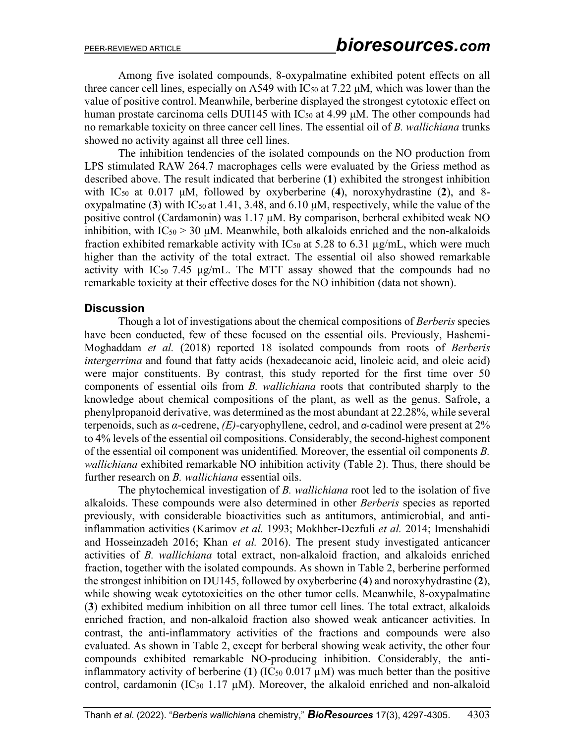Among five isolated compounds, 8-oxypalmatine exhibited potent effects on all three cancer cell lines, especially on A549 with  $IC_{50}$  at 7.22  $\mu$ M, which was lower than the value of positive control. Meanwhile, berberine displayed the strongest cytotoxic effect on human prostate carcinoma cells DUI145 with  $IC_{50}$  at 4.99  $\mu$ M. The other compounds had no remarkable toxicity on three cancer cell lines. The essential oil of *B. wallichiana* trunks showed no activity against all three cell lines.

The inhibition tendencies of the isolated compounds on the NO production from LPS stimulated RAW 264.7 macrophages cells were evaluated by the Griess method as described above. The result indicated that berberine (**1**) exhibited the strongest inhibition with IC50 at 0.017 μM, followed by oxyberberine (**4**), noroxyhydrastine (**2**), and 8 oxypalmatine (3) with  $IC_{50}$  at 1.41, 3.48, and 6.10  $\mu$ M, respectively, while the value of the positive control (Cardamonin) was 1.17 μM. By comparison, berberal exhibited weak NO inhibition, with  $IC_{50} > 30 \mu M$ . Meanwhile, both alkaloids enriched and the non-alkaloids fraction exhibited remarkable activity with  $IC_{50}$  at 5.28 to 6.31  $\mu$ g/mL, which were much higher than the activity of the total extract. The essential oil also showed remarkable activity with  $IC_{50}$  7.45 μg/mL. The MTT assay showed that the compounds had no remarkable toxicity at their effective doses for the NO inhibition (data not shown).

### **Discussion**

Though a lot of investigations about the chemical compositions of *Berberis* species have been conducted, few of these focused on the essential oils. Previously, Hashemi-Moghaddam *et al.* (2018) reported 18 isolated compounds from roots of *Berberis intergerrima* and found that fatty acids (hexadecanoic acid, linoleic acid, and oleic acid) were major constituents. By contrast, this study reported for the first time over 50 components of essential oils from *B. wallichiana* roots that contributed sharply to the knowledge about chemical compositions of the plant, as well as the genus. Safrole, a phenylpropanoid derivative, was determined as the most abundant at 22.28%, while several terpenoids, such as *α*-cedrene, *(E)*-caryophyllene, cedrol, and *α*-cadinol were present at 2% to 4% levels of the essential oil compositions. Considerably, the second-highest component of the essential oil component was unidentified*.* Moreover, the essential oil components *B. wallichiana* exhibited remarkable NO inhibition activity (Table 2). Thus, there should be further research on *B. wallichiana* essential oils.

The phytochemical investigation of *B. wallichiana* root led to the isolation of five alkaloids. These compounds were also determined in other *Berberis* species as reported previously, with considerable bioactivities such as antitumors, antimicrobial, and antiinflammation activities (Karimov *et al.* 1993; Mokhber-Dezfuli *et al.* 2014; Imenshahidi and Hosseinzadeh 2016; Khan *et al.* 2016). The present study investigated anticancer activities of *B. wallichiana* total extract, non-alkaloid fraction, and alkaloids enriched fraction, together with the isolated compounds. As shown in Table 2, berberine performed the strongest inhibition on DU145, followed by oxyberberine (**4**) and noroxyhydrastine (**2**), while showing weak cytotoxicities on the other tumor cells. Meanwhile, 8-oxypalmatine (**3**) exhibited medium inhibition on all three tumor cell lines. The total extract, alkaloids enriched fraction, and non-alkaloid fraction also showed weak anticancer activities. In contrast, the anti-inflammatory activities of the fractions and compounds were also evaluated. As shown in Table 2, except for berberal showing weak activity, the other four compounds exhibited remarkable NO-producing inhibition. Considerably, the antiinflammatory activity of berberine (1) ( $IC_{50}$  0.017  $\mu$ M) was much better than the positive control, cardamonin (IC<sub>50</sub> 1.17  $\mu$ M). Moreover, the alkaloid enriched and non-alkaloid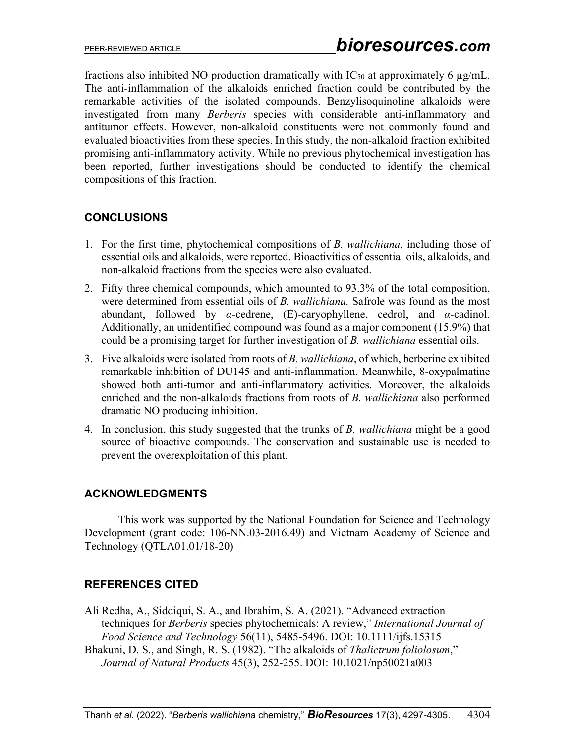fractions also inhibited NO production dramatically with  $IC_{50}$  at approximately 6  $\mu$ g/mL. The anti-inflammation of the alkaloids enriched fraction could be contributed by the remarkable activities of the isolated compounds. Benzylisoquinoline alkaloids were investigated from many *Berberis* species with considerable anti-inflammatory and antitumor effects. However, non-alkaloid constituents were not commonly found and evaluated bioactivities from these species. In this study, the non-alkaloid fraction exhibited promising anti-inflammatory activity. While no previous phytochemical investigation has been reported, further investigations should be conducted to identify the chemical compositions of this fraction.

## **CONCLUSIONS**

- 1. For the first time, phytochemical compositions of *B. wallichiana*, including those of essential oils and alkaloids, were reported. Bioactivities of essential oils, alkaloids, and non-alkaloid fractions from the species were also evaluated.
- 2. Fifty three chemical compounds, which amounted to 93.3% of the total composition, were determined from essential oils of *B. wallichiana.* Safrole was found as the most abundant, followed by *α*-cedrene, (E)-caryophyllene, cedrol, and *α*-cadinol. Additionally, an unidentified compound was found as a major component (15.9%) that could be a promising target for further investigation of *B. wallichiana* essential oils.
- 3. Five alkaloids were isolated from roots of *B. wallichiana*, of which, berberine exhibited remarkable inhibition of DU145 and anti-inflammation. Meanwhile, 8-oxypalmatine showed both anti-tumor and anti-inflammatory activities. Moreover, the alkaloids enriched and the non-alkaloids fractions from roots of *B. wallichiana* also performed dramatic NO producing inhibition.
- 4. In conclusion, this study suggested that the trunks of *B. wallichiana* might be a good source of bioactive compounds. The conservation and sustainable use is needed to prevent the overexploitation of this plant.

## **ACKNOWLEDGMENTS**

This work was supported by the National Foundation for Science and Technology Development (grant code: 106-NN.03-2016.49) and Vietnam Academy of Science and Technology (QTLA01.01/18-20)

## **REFERENCES CITED**

- Ali Redha, A., Siddiqui, S. A., and Ibrahim, S. A. (2021). "Advanced extraction techniques for *Berberis* species phytochemicals: A review," *[International Journal of](https://www.researchgate.net/journal/International-Journal-of-Food-Science-Technology-1365-2621)  [Food Science and Technology](https://www.researchgate.net/journal/International-Journal-of-Food-Science-Technology-1365-2621)* 56(11), 5485-5496. [DOI: 10.1111/ijfs.15315](https://doi.org/10.1111/ijfs.15315)
- Bhakuni, D. S., and Singh, R. S. (1982). "The alkaloids of *Thalictrum foliolosum*," *Journal of Natural Products* 45(3), 252-255. [DOI: 10.1021/np50021a003](https://doi.org/10.1021/np50021a003)